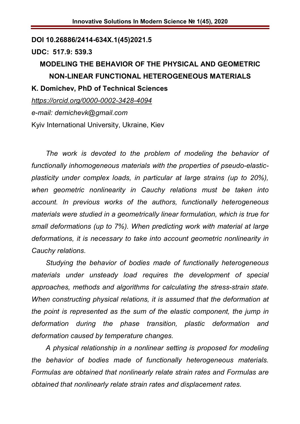#### **DOI 10.26886/2414-634X.1(45)2021.5**

#### **UDC: 517.9: 539.3**

# **MODELING THE BEHAVIOR OF THE PHYSICAL AND GEOMETRIC NON-LINEAR FUNCTIONAL HETEROGENEOUS MATERIALS K. Domichev, PhD of Technical Sciences**

*https://orcid.org/0000-0002-3428-4094 e-mail: demichevk@gmail.com* Kyiv International University, Ukraine, Kiev

*The work is devoted to the problem of modeling the behavior of functionally inhomogeneous materials with the properties of pseudo-elasticplasticity under complex loads, in particular at large strains (up to 20%), when geometric nonlinearity in Cauchy relations must be taken into account. In previous works of the authors, functionally heterogeneous materials were studied in a geometrically linear formulation, which is true for small deformations (up to 7%). When predicting work with material at large deformations, it is necessary to take into account geometric nonlinearity in Cauchy relations.*

*Studying the behavior of bodies made of functionally heterogeneous materials under unsteady load requires the development of special approaches, methods and algorithms for calculating the stress-strain state. When constructing physical relations, it is assumed that the deformation at the point is represented as the sum of the elastic component, the jump in deformation during the phase transition, plastic deformation and deformation caused by temperature changes.*

*A physical relationship in a nonlinear setting is proposed for modeling the behavior of bodies made of functionally heterogeneous materials. Formulas are obtained that nonlinearly relate strain rates and Formulas are obtained that nonlinearly relate strain rates and displacement rates.*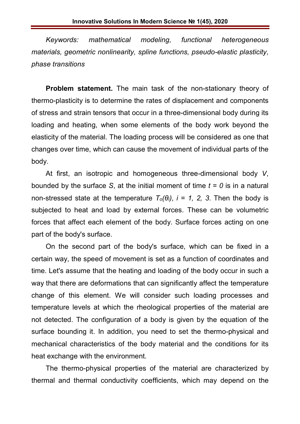*Keywords: mathematical modeling, functional heterogeneous materials, geometric nonlinearity, spline functions, pseudo-elastic plasticity, phase transitions*

**Problem statement.** The main task of the non-stationary theory of thermo-plasticity is to determine the rates of displacement and components of stress and strain tensors that occur in a three-dimensional body during its loading and heating, when some elements of the body work beyond the elasticity of the material. The loading process will be considered as one that changes over time, which can cause the movement of individual parts of the body.

At first, an isotropic and homogeneous three-dimensional body *V*, bounded by the surface *S*, at the initial moment of time *t = 0* is in a natural non-stressed state at the temperature  $T<sub>o</sub>(\theta<sub>i</sub>)$ ,  $i = 1, 2, 3$ . Then the body is subjected to heat and load by external forces. These can be volumetric forces that affect each element of the body. Surface forces acting on one part of the body's surface.

On the second part of the body's surface, which can be fixed in a certain way, the speed of movement is set as a function of coordinates and time. Let's assume that the heating and loading of the body occur in such a way that there are deformations that can significantly affect the temperature change of this element. We will consider such loading processes and temperature levels at which the rheological properties of the material are not detected. The configuration of a body is given by the equation of the surface bounding it. In addition, you need to set the thermo-physical and mechanical characteristics of the body material and the conditions for its heat exchange with the environment.

The thermo-physical properties of the material are characterized by thermal and thermal conductivity coefficients, which may depend on the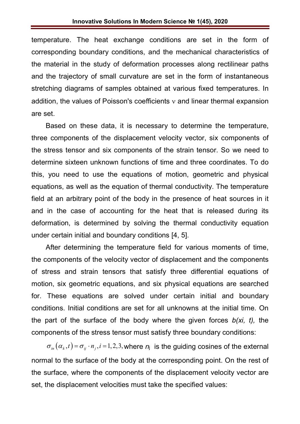temperature. The heat exchange conditions are set in the form of corresponding boundary conditions, and the mechanical characteristics of the material in the study of deformation processes along rectilinear paths and the trajectory of small curvature are set in the form of instantaneous stretching diagrams of samples obtained at various fixed temperatures. In addition, the values of Poisson's coefficients  $\nu$  and linear thermal expansion are set.

Based on these data, it is necessary to determine the temperature, three components of the displacement velocity vector, six components of the stress tensor and six components of the strain tensor. So we need to determine sixteen unknown functions of time and three coordinates. To do this, you need to use the equations of motion, geometric and physical equations, as well as the equation of thermal conductivity. The temperature field at an arbitrary point of the body in the presence of heat sources in it and in the case of accounting for the heat that is released during its deformation, is determined by solving the thermal conductivity equation under certain initial and boundary conditions [4, 5].

After determining the temperature field for various moments of time, the components of the velocity vector of displacement and the components of stress and strain tensors that satisfy three differential equations of motion, six geometric equations, and six physical equations are searched for. These equations are solved under certain initial and boundary conditions. Initial conditions are set for all unknowns at the initial time. On the part of the surface of the body where the given forces *b(xi, t),* the components of the stress tensor must satisfy three boundary conditions:

 $\sigma_{_{in}}(\alpha_k,t) = \sigma_{_{ii}} \cdot n_{_i}, i = 1,2,3$ , where  $n_j$  is the guiding cosines of the external normal to the surface of the body at the corresponding point. On the rest of the surface, where the components of the displacement velocity vector are set, the displacement velocities must take the specified values: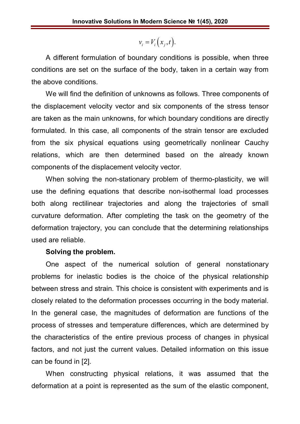$$
v_i = V_i(x_j,t).
$$

A different formulation of boundary conditions is possible, when three conditions are set on the surface of the body, taken in a certain way from the above conditions.

We will find the definition of unknowns as follows. Three components of the displacement velocity vector and six components of the stress tensor are taken as the main unknowns, for which boundary conditions are directly formulated. In this case, all components of the strain tensor are excluded from the six physical equations using geometrically nonlinear Cauchy relations, which are then determined based on the already known components of the displacement velocity vector.

When solving the non-stationary problem of thermo-plasticity, we will use the defining equations that describe non-isothermal load processes both along rectilinear trajectories and along the trajectories of small curvature deformation. After completing the task on the geometry of the deformation trajectory, you can conclude that the determining relationships used are reliable.

#### **Solving the problem.**

One aspect of the numerical solution of general nonstationary problems for inelastic bodies is the choice of the physical relationship between stress and strain. This choice is consistent with experiments and is closely related to the deformation processes occurring in the body material. In the general case, the magnitudes of deformation are functions of the process of stresses and temperature differences, which are determined by the characteristics of the entire previous process of changes in physical factors, and not just the current values. Detailed information on this issue can be found in [2].

When constructing physical relations, it was assumed that the deformation at a point is represented as the sum of the elastic component,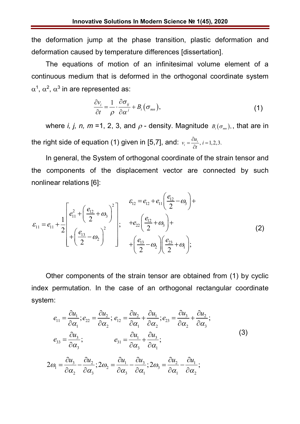the deformation jump at the phase transition, plastic deformation and deformation caused by temperature differences [dissertation].

The equations of motion of an infinitesimal volume element of a continuous medium that is deformed in the orthogonal coordinate system  $\alpha^1$ ,  $\alpha^2$ ,  $\alpha^3$  in are represented as:

$$
\frac{\partial v_i}{\partial t} = \frac{1}{\rho} \cdot \frac{\partial \sigma_{ij}}{\partial \alpha^j} + B_i(\sigma_{mn}), \qquad (1)
$$

where *i, j, n, m* =1, 2, 3, and  $\rho$  - density. Magnitude  $B_i(\sigma_{mn})$ , that are in the right side of equation (1) given in [5,7], and:  $v_i = \frac{cu_i}{\gamma_i}$ ,  $i = 1,2,3.$  $v_i = \frac{\partial u_i}{\partial x_i}, i =$ *t*  $=\frac{\partial u_i}{\partial x}, i=1$  $\partial$ 

In general, the System of orthogonal coordinate of the strain tensor and the components of the displacement vector are connected by such nonlinear relations [6]:

$$
\varepsilon_{11} = e_{11} + \frac{1}{2} \begin{bmatrix} e_{11}^2 + \left(\frac{e_{12}}{2} + \omega_3\right)^2 \\ + \left(\frac{e_{13}}{2} - \omega_2\right)^2 \end{bmatrix}; \quad + e_{22} \left(\frac{e_{12}}{2} + \omega_3\right) + \left(\frac{e_{13}}{2} - \omega_2\right) \left(\frac{e_{23}}{2} + \omega_1\right); \tag{2}
$$

Other components of the strain tensor are obtained from (1) by cyclic index permutation. In the case of an orthogonal rectangular coordinate system:

$$
e_{11} = \frac{\partial u_1}{\partial \alpha_1}; e_{22} = \frac{\partial u_2}{\partial \alpha_2}; e_{12} = \frac{\partial u_2}{\partial \alpha_1} + \frac{\partial u_1}{\partial \alpha_2}; e_{23} = \frac{\partial u_3}{\partial \alpha_2} + \frac{\partial u_2}{\partial \alpha_3};
$$
  
\n
$$
e_{33} = \frac{\partial u_3}{\partial \alpha_3}; e_{31} = \frac{\partial u_1}{\partial \alpha_3} + \frac{\partial u_3}{\partial \alpha_1};
$$
  
\n
$$
2\omega_1 = \frac{\partial u_3}{\partial \alpha_2} - \frac{\partial u_2}{\partial \alpha_3}; 2\omega_2 = \frac{\partial u_1}{\partial \alpha_3} - \frac{\partial u_3}{\partial \alpha_1}; 2\omega_3 = \frac{\partial u_2}{\partial \alpha_1} - \frac{\partial u_1}{\partial \alpha_2};
$$
  
\n(3)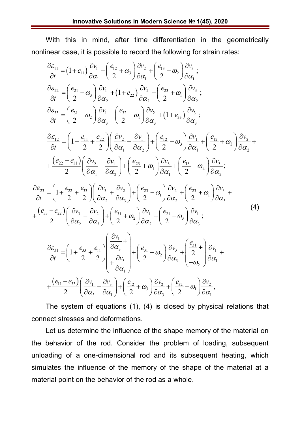With this in mind, after time differentiation in the geometrically nonlinear case, it is possible to record the following for strain rates:

$$
\frac{\partial \varepsilon_{11}}{\partial t} = (1 + e_{11}) \frac{\partial v_1}{\partial \alpha_1} + \left(\frac{e_{12}}{2} + \omega_3\right) \frac{\partial v_2}{\partial \alpha_1} + \left(\frac{e_{13}}{2} - \omega_2\right) \frac{\partial v_3}{\partial \alpha_1};
$$
\n
$$
\frac{\partial \varepsilon_{22}}{\partial t} = \left(\frac{e_{21}}{2} - \omega_3\right) \frac{\partial v_1}{\partial \alpha_2} + (1 + e_{22}) \frac{\partial v_2}{\partial \alpha_2} + \left(\frac{e_{23}}{2} + \omega_1\right) \frac{\partial v_3}{\partial \alpha_2};
$$
\n
$$
\frac{\partial \varepsilon_{33}}{\partial t} = \left(\frac{e_{31}}{2} + \omega_2\right) \frac{\partial v_1}{\partial \alpha_3} + \left(\frac{e_{32}}{2} - \omega_1\right) \frac{\partial v_2}{\partial \alpha_3} + (1 + e_{33}) \frac{\partial v_3}{\partial \alpha_3};
$$
\n
$$
\frac{\partial \varepsilon_{12}}{\partial t} = \left(1 + \frac{e_{11}}{2} + \frac{e_{22}}{2}\right) \left(\frac{\partial v_2}{\partial \alpha_1} + \frac{\partial v_1}{\partial \alpha_2}\right) + \left(\frac{e_{12}}{2} - \omega_3\right) \frac{\partial v_1}{\partial \alpha_1} + \left(\frac{e_{12}}{2} + \omega_3\right) \frac{\partial v_2}{\partial \alpha_2} + \left(\frac{e_{22} - e_{11}}{2}\right) \left(\frac{\partial v_2}{\partial \alpha_1} - \frac{\partial v_1}{\partial \alpha_2}\right) + \left(\frac{e_{23}}{2} + \omega_1\right) \frac{\partial v_3}{\partial \alpha_1} + \left(\frac{e_{13}}{2} - \omega_2\right) \frac{\partial v_3}{\partial \alpha_2};
$$
\n
$$
\frac{\partial \varepsilon_{23}}{\partial t} = \left(1 + \frac{e_{22}}{2} + \frac{e_{33}}{2}\right) \left(\frac{\partial v_3}{\partial \alpha_2} + \frac{\partial v_2}{\partial \alpha_3}\right) + \left(\frac{e_{23}}{2
$$

The system of equations (1), (4) is closed by physical relations that connect stresses and deformations.

Let us determine the influence of the shape memory of the material on the behavior of the rod. Consider the problem of loading, subsequent unloading of a one-dimensional rod and its subsequent heating, which simulates the influence of the memory of the shape of the material at a material point on the behavior of the rod as a whole.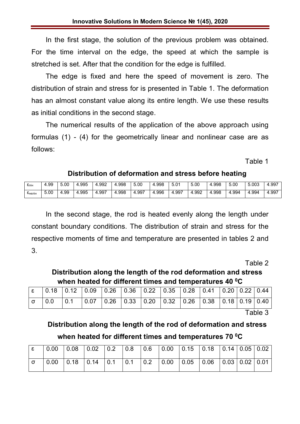In the first stage, the solution of the previous problem was obtained. For the time interval on the edge, the speed at which the sample is stretched is set. After that the condition for the edge is fulfilled.

The edge is fixed and here the speed of movement is zero. The distribution of strain and stress for is presented in Table 1. The deformation has an almost constant value along its entire length. We use these results as initial conditions in the second stage.

The numerical results of the application of the above approach using formulas (1) - (4) for the geometrically linear and nonlinear case are as follows:

Table 1

## **Distribution of deformation and stress before heating**

| $\epsilon_{\text{min}}$ | . 99 | 5.00     | 4.995 | l.992<br>4 | .998<br>Д              | 5.00 | l.998             | 5.0 <sup>1</sup> | 5.00       | 4.998      | 5.00  | 5.003 | 997.،<br>4 |
|-------------------------|------|----------|-------|------------|------------------------|------|-------------------|------------------|------------|------------|-------|-------|------------|
| $\sim$<br>снелін        | 5.00 | .99<br>4 | .995  | .997<br>4  | .998<br>$\overline{ }$ | 997  | .996<br>$\Lambda$ | .997             | 1.992<br>4 | Ⅰ.998<br>4 | .994ء | 4.994 | .997<br>д  |

In the second stage, the rod is heated evenly along the length under constant boundary conditions. The distribution of strain and stress for the respective moments of time and temperature are presented in tables 2 and 3.

Table 2

## **Distribution along the length of the rod deformation and stress when heated for different times and temperatures 40 <sup>0</sup>C**

|  | $\lvert$ ε   0.18   0.12   0.09   0.26   0.36   0.22   0.35   0.28   0.41   0.20   0.22   0.44 |  |  |  |  |  |
|--|------------------------------------------------------------------------------------------------|--|--|--|--|--|
|  | $\sigma$ 0.0 0.1 0.07 0.26 0.33 0.20 0.32 0.26 0.38 0.18 0.19 0.40                             |  |  |  |  |  |

Table 3

## **Distribution along the length of the rod of deformation and stress**

**when heated for different times and temperatures 70 <sup>0</sup>C**

| $\epsilon$ | $\vert 0.00 \vert 0.08 \vert 0.02 \vert 0.2 \vert 0.8 \vert 0.6 \vert 0.00 \vert 0.15 \vert 0.18 \vert 0.14 \vert 0.05 \vert 0.02 \vert$                         |  |  |  |  |  |  |
|------------|------------------------------------------------------------------------------------------------------------------------------------------------------------------|--|--|--|--|--|--|
| $\sigma$   | $\vert$ 0.00 $\vert$ 0.18 $\vert$ 0.14 $\vert$ 0.1 $\vert$ 0.1 $\vert$ 0.2 $\vert$ 0.00 $\vert$ 0.05 $\vert$ 0.06 $\vert$ 0.03 $\vert$ 0.02 $\vert$ 0.01 $\vert$ |  |  |  |  |  |  |